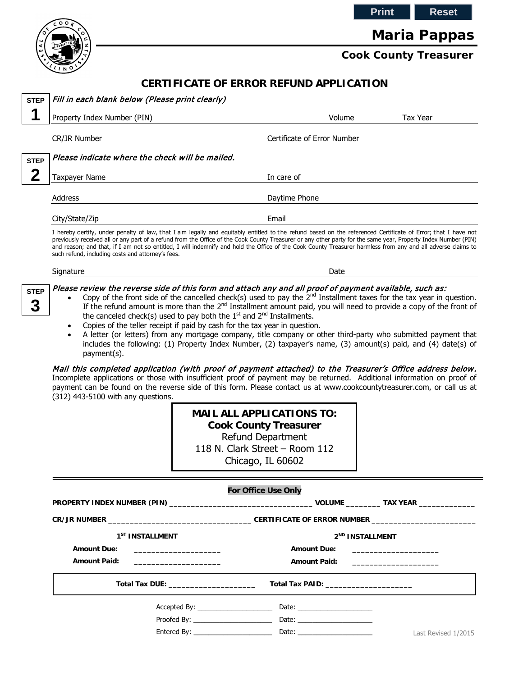**Print Reset**



# **Maria Pappas**

# **Cook County Treasurer**

## **CERTIFICATE OF ERROR REFUND APPLICATION**

| <b>STEP</b>      | Fill in each blank below (Please print clearly)                                                                                                                                                                                                                                                                                                                                                                                                                                                                                                                                                                                                                                                                                                                                                                                                                                                                                                                                                                                                                                                                                                                                                                                                                                                                                                                                 |                                                                                                                |                                                                                                                |                             |
|------------------|---------------------------------------------------------------------------------------------------------------------------------------------------------------------------------------------------------------------------------------------------------------------------------------------------------------------------------------------------------------------------------------------------------------------------------------------------------------------------------------------------------------------------------------------------------------------------------------------------------------------------------------------------------------------------------------------------------------------------------------------------------------------------------------------------------------------------------------------------------------------------------------------------------------------------------------------------------------------------------------------------------------------------------------------------------------------------------------------------------------------------------------------------------------------------------------------------------------------------------------------------------------------------------------------------------------------------------------------------------------------------------|----------------------------------------------------------------------------------------------------------------|----------------------------------------------------------------------------------------------------------------|-----------------------------|
| 1                | Property Index Number (PIN)                                                                                                                                                                                                                                                                                                                                                                                                                                                                                                                                                                                                                                                                                                                                                                                                                                                                                                                                                                                                                                                                                                                                                                                                                                                                                                                                                     |                                                                                                                | Volume                                                                                                         | <b>Tax Year</b>             |
|                  | CR/JR Number                                                                                                                                                                                                                                                                                                                                                                                                                                                                                                                                                                                                                                                                                                                                                                                                                                                                                                                                                                                                                                                                                                                                                                                                                                                                                                                                                                    |                                                                                                                | Certificate of Error Number                                                                                    |                             |
| <b>STEP</b>      | Please indicate where the check will be mailed.                                                                                                                                                                                                                                                                                                                                                                                                                                                                                                                                                                                                                                                                                                                                                                                                                                                                                                                                                                                                                                                                                                                                                                                                                                                                                                                                 |                                                                                                                |                                                                                                                |                             |
| $\mathbf 2$      | <b>Taxpayer Name</b>                                                                                                                                                                                                                                                                                                                                                                                                                                                                                                                                                                                                                                                                                                                                                                                                                                                                                                                                                                                                                                                                                                                                                                                                                                                                                                                                                            |                                                                                                                | In care of                                                                                                     |                             |
|                  |                                                                                                                                                                                                                                                                                                                                                                                                                                                                                                                                                                                                                                                                                                                                                                                                                                                                                                                                                                                                                                                                                                                                                                                                                                                                                                                                                                                 |                                                                                                                |                                                                                                                |                             |
|                  | Address                                                                                                                                                                                                                                                                                                                                                                                                                                                                                                                                                                                                                                                                                                                                                                                                                                                                                                                                                                                                                                                                                                                                                                                                                                                                                                                                                                         |                                                                                                                | Daytime Phone                                                                                                  |                             |
|                  | City/State/Zip                                                                                                                                                                                                                                                                                                                                                                                                                                                                                                                                                                                                                                                                                                                                                                                                                                                                                                                                                                                                                                                                                                                                                                                                                                                                                                                                                                  |                                                                                                                | Email                                                                                                          |                             |
|                  | I hereby certify, under penalty of law, that I am legally and equitably entitled to the refund based on the referenced Certificate of Error; that I have not<br>previously received all or any part of a refund from the Office of the Cook County Treasurer or any other party for the same year, Property Index Number (PIN)<br>and reason; and that, if I am not so entitled, I will indemnify and hold the Office of the Cook County Treasurer harmless from any and all adverse claims to<br>such refund, including costs and attorney's fees.                                                                                                                                                                                                                                                                                                                                                                                                                                                                                                                                                                                                                                                                                                                                                                                                                             |                                                                                                                |                                                                                                                |                             |
|                  | Signature                                                                                                                                                                                                                                                                                                                                                                                                                                                                                                                                                                                                                                                                                                                                                                                                                                                                                                                                                                                                                                                                                                                                                                                                                                                                                                                                                                       |                                                                                                                | Date                                                                                                           |                             |
| <b>STEP</b><br>3 | Please review the reverse side of this form and attach any and all proof of payment available, such as:<br>Copy of the front side of the cancelled check(s) used to pay the $2nd$ Installment taxes for the tax year in question.<br>$\bullet$<br>If the refund amount is more than the $2^{nd}$ Installment amount paid, you will need to provide a copy of the front of<br>the canceled check(s) used to pay both the $1st$ and $2nd$ Installments.<br>Copies of the teller receipt if paid by cash for the tax year in question.<br>$\bullet$<br>A letter (or letters) from any mortgage company, title company or other third-party who submitted payment that<br>$\bullet$<br>includes the following: (1) Property Index Number, (2) taxpayer's name, (3) amount(s) paid, and (4) date(s) of<br>payment(s).<br>Mail this completed application (with proof of payment attached) to the Treasurer's Office address below.<br>Incomplete applications or those with insufficient proof of payment may be returned. Additional information on proof of<br>payment can be found on the reverse side of this form. Please contact us at www.cookcountytreasurer.com, or call us at<br>(312) 443-5100 with any questions.<br><b>MAIL ALL APPLICATIONS TO:</b><br><b>Cook County Treasurer</b><br><b>Refund Department</b><br>118 N. Clark Street - Room 112<br>Chicago, IL 60602 |                                                                                                                |                                                                                                                |                             |
|                  | <b>For Office Use Only</b>                                                                                                                                                                                                                                                                                                                                                                                                                                                                                                                                                                                                                                                                                                                                                                                                                                                                                                                                                                                                                                                                                                                                                                                                                                                                                                                                                      |                                                                                                                |                                                                                                                |                             |
|                  |                                                                                                                                                                                                                                                                                                                                                                                                                                                                                                                                                                                                                                                                                                                                                                                                                                                                                                                                                                                                                                                                                                                                                                                                                                                                                                                                                                                 |                                                                                                                |                                                                                                                |                             |
|                  |                                                                                                                                                                                                                                                                                                                                                                                                                                                                                                                                                                                                                                                                                                                                                                                                                                                                                                                                                                                                                                                                                                                                                                                                                                                                                                                                                                                 |                                                                                                                |                                                                                                                |                             |
|                  | 1 <sup>ST</sup> INSTALLMENT<br><b>Amount Due:</b>                                                                                                                                                                                                                                                                                                                                                                                                                                                                                                                                                                                                                                                                                                                                                                                                                                                                                                                                                                                                                                                                                                                                                                                                                                                                                                                               | <u> 1989 - Johann Barn, mars et al. (b. 1989)</u>                                                              | <b>Amount Due:</b>                                                                                             | 2 <sup>ND</sup> INSTALLMENT |
|                  | <b>Amount Paid:</b>                                                                                                                                                                                                                                                                                                                                                                                                                                                                                                                                                                                                                                                                                                                                                                                                                                                                                                                                                                                                                                                                                                                                                                                                                                                                                                                                                             |                                                                                                                | <b>Amount Paid:</b>                                                                                            |                             |
|                  |                                                                                                                                                                                                                                                                                                                                                                                                                                                                                                                                                                                                                                                                                                                                                                                                                                                                                                                                                                                                                                                                                                                                                                                                                                                                                                                                                                                 | Total Tax DUE: New York State State State State State State State State State State State State State State St | Total Tax PAID: New York State State State State State State State State State State State State State State S |                             |
|                  |                                                                                                                                                                                                                                                                                                                                                                                                                                                                                                                                                                                                                                                                                                                                                                                                                                                                                                                                                                                                                                                                                                                                                                                                                                                                                                                                                                                 | Accepted By:                                                                                                   |                                                                                                                |                             |
|                  |                                                                                                                                                                                                                                                                                                                                                                                                                                                                                                                                                                                                                                                                                                                                                                                                                                                                                                                                                                                                                                                                                                                                                                                                                                                                                                                                                                                 |                                                                                                                | Date: $\qquad \qquad$                                                                                          |                             |
|                  |                                                                                                                                                                                                                                                                                                                                                                                                                                                                                                                                                                                                                                                                                                                                                                                                                                                                                                                                                                                                                                                                                                                                                                                                                                                                                                                                                                                 |                                                                                                                |                                                                                                                | Last Revised 1/2015         |